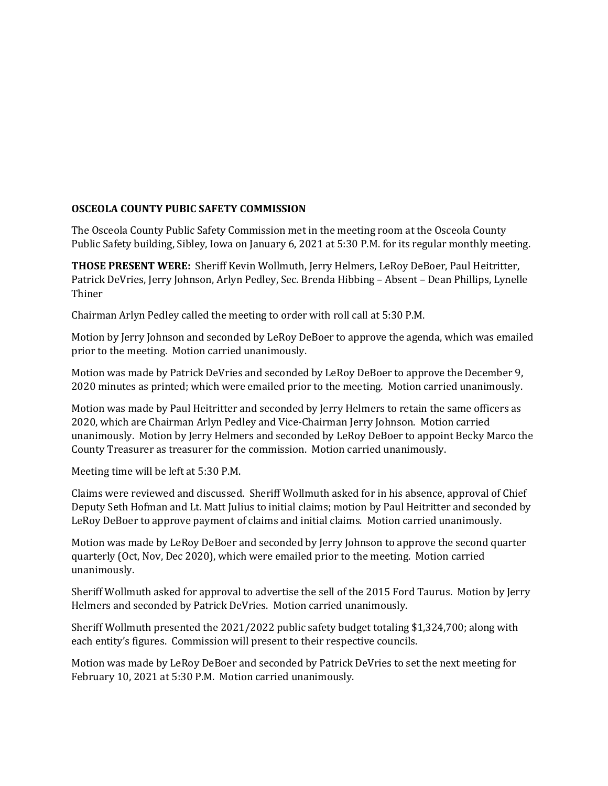## **OSCEOLA COUNTY PUBIC SAFETY COMMISSION**

The Osceola County Public Safety Commission met in the meeting room at the Osceola County Public Safety building, Sibley, Iowa on January 6, 2021 at 5:30 P.M. for its regular monthly meeting.

**THOSE PRESENT WERE:** Sheriff Kevin Wollmuth, Jerry Helmers, LeRoy DeBoer, Paul Heitritter, Patrick DeVries, Jerry Johnson, Arlyn Pedley, Sec. Brenda Hibbing – Absent – Dean Phillips, Lynelle Thiner

Chairman Arlyn Pedley called the meeting to order with roll call at 5:30 P.M.

Motion by Jerry Johnson and seconded by LeRoy DeBoer to approve the agenda, which was emailed prior to the meeting. Motion carried unanimously.

Motion was made by Patrick DeVries and seconded by LeRoy DeBoer to approve the December 9, 2020 minutes as printed; which were emailed prior to the meeting. Motion carried unanimously.

Motion was made by Paul Heitritter and seconded by Jerry Helmers to retain the same officers as 2020, which are Chairman Arlyn Pedley and Vice-Chairman Jerry Johnson. Motion carried unanimously. Motion by Jerry Helmers and seconded by LeRoy DeBoer to appoint Becky Marco the County Treasurer as treasurer for the commission. Motion carried unanimously.

Meeting time will be left at 5:30 P.M.

Claims were reviewed and discussed. Sheriff Wollmuth asked for in his absence, approval of Chief Deputy Seth Hofman and Lt. Matt Julius to initial claims; motion by Paul Heitritter and seconded by LeRoy DeBoer to approve payment of claims and initial claims. Motion carried unanimously.

Motion was made by LeRoy DeBoer and seconded by Jerry Johnson to approve the second quarter quarterly (Oct, Nov, Dec 2020), which were emailed prior to the meeting. Motion carried unanimously.

Sheriff Wollmuth asked for approval to advertise the sell of the 2015 Ford Taurus. Motion by Jerry Helmers and seconded by Patrick DeVries. Motion carried unanimously.

Sheriff Wollmuth presented the 2021/2022 public safety budget totaling \$1,324,700; along with each entity's figures. Commission will present to their respective councils.

Motion was made by LeRoy DeBoer and seconded by Patrick DeVries to set the next meeting for February 10, 2021 at 5:30 P.M. Motion carried unanimously.